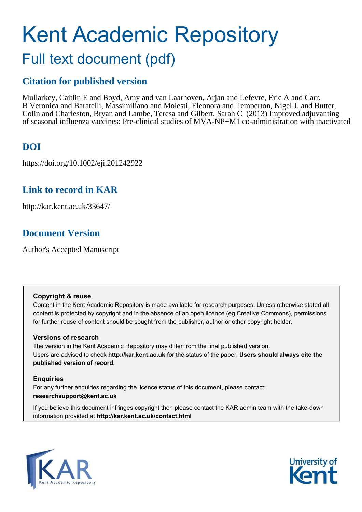# Kent Academic Repository Full text document (pdf)

## **Citation for published version**

Mullarkey, Caitlin E and Boyd, Amy and van Laarhoven, Arjan and Lefevre, Eric A and Carr, B Veronica and Baratelli, Massimiliano and Molesti, Eleonora and Temperton, Nigel J. and Butter, Colin and Charleston, Bryan and Lambe, Teresa and Gilbert, Sarah C  $(2013)$  Improved adjuvanting of seasonal influenza vaccines: Pre-clinical studies of MVA-NP+M1 co-administration with inactivated

## **DOI**

https://doi.org/10.1002/eji.201242922

## **Link to record in KAR**

http://kar.kent.ac.uk/33647/

## **Document Version**

Author's Accepted Manuscript

#### **Copyright & reuse**

Content in the Kent Academic Repository is made available for research purposes. Unless otherwise stated all content is protected by copyright and in the absence of an open licence (eg Creative Commons), permissions for further reuse of content should be sought from the publisher, author or other copyright holder.

#### **Versions of research**

The version in the Kent Academic Repository may differ from the final published version. Users are advised to check **http://kar.kent.ac.uk** for the status of the paper. **Users should always cite the published version of record.**

#### **Enquiries**

For any further enquiries regarding the licence status of this document, please contact: **researchsupport@kent.ac.uk**

If you believe this document infringes copyright then please contact the KAR admin team with the take-down information provided at **http://kar.kent.ac.uk/contact.html**



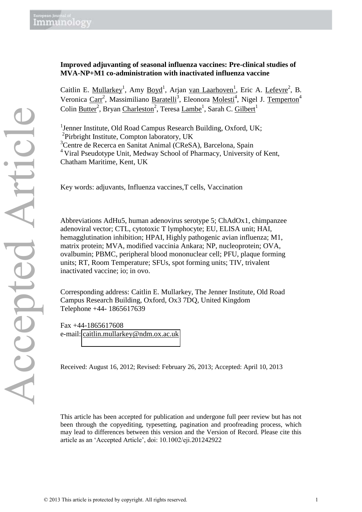### **Improved adjuvanting of seasonal influenza vaccines: Pre-clinical studies of MVA-NP+M1 co-administration with inactivated influenza vaccine**

Caitlin E. Mullarkey<sup>1</sup>, Amy Boyd<sup>1</sup>, Arjan van Laarhoven<sup>1</sup>, Eric A. Lefevre<sup>2</sup>, B. Veronica Carr<sup>2</sup>, Massimiliano Baratelli<sup>3</sup>, Eleonora Molesti<sup>4</sup>, Nigel J. Temperton<sup>4</sup> Colin <u>Butter<sup>2</sup>, Bryan Charleston<sup>2</sup>, Teresa <u>Lambe<sup>1</sup>, Sarah C. Gilbert</u><sup>1</sup></u>

<sup>1</sup>Jenner Institute, Old Road Campus Research Building, Oxford, UK; <sup>2</sup>Pirbright Institute, Compton laboratory, UK

<sup>3</sup>Centre de Recerca en Sanitat Animal (CReSA), Barcelona, Spain

<sup>4</sup> Viral Pseudotype Unit, Medway School of Pharmacy, University of Kent, Chatham Maritime, Kent, UK

Key words: adjuvants, Influenza vaccines,T cells, Vaccination

Abbreviations AdHu5, human adenovirus serotype 5; ChAdOx1, chimpanzee adenoviral vector; CTL, cytotoxic T lymphocyte; EU, ELISA unit; HAI, hemagglutination inhibition; HPAI, Highly pathogenic avian influenza; M1, matrix protein; MVA, modified vaccinia Ankara; NP, nucleoprotein; OVA, ovalbumin; PBMC, peripheral blood mononuclear cell; PFU, plaque forming units; RT, Room Temperature; SFUs, spot forming units; TIV, trivalent inactivated vaccine; io; in ovo.

Corresponding address: Caitlin E. Mullarkey, The Jenner Institute, Old Road Campus Research Building, Oxford, Ox3 7DQ, United Kingdom Telephone +44- 1865617639

Fax +44-1865617608 e-mail: [caitlin.mullarkey@ndm.ox.ac.uk](mailto:caitlin.mullarkey@ndm.ox.ac.uk) 

Received: August 16, 2012; Revised: February 26, 2013; Accepted: April 10, 2013

This article has been accepted for publication and undergone full peer review but has not been through the copyediting, typesetting, pagination and proofreading process, which may lead to differences between this version and the Version of Record. Please cite this article as an 'Accepted Article', doi: 10.1002/eji.201242922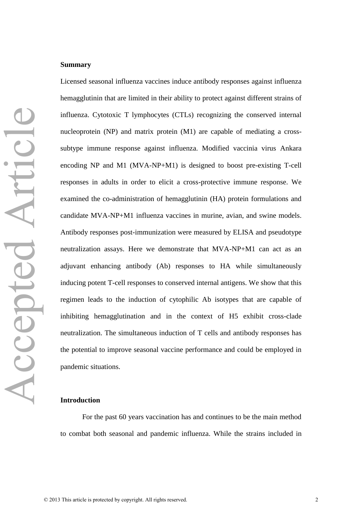#### **Summary**

Licensed seasonal influenza vaccines induce antibody responses against influenza hemagglutinin that are limited in their ability to protect against different strains of influenza. Cytotoxic T lymphocytes (CTLs) recognizing the conserved internal nucleoprotein (NP) and matrix protein (M1) are capable of mediating a crosssubtype immune response against influenza. Modified vaccinia virus Ankara encoding NP and M1 (MVA-NP+M1) is designed to boost pre-existing T-cell responses in adults in order to elicit a cross-protective immune response. We examined the co-administration of hemagglutinin (HA) protein formulations and candidate MVA-NP+M1 influenza vaccines in murine, avian, and swine models. Antibody responses post-immunization were measured by ELISA and pseudotype neutralization assays. Here we demonstrate that MVA-NP+M1 can act as an adjuvant enhancing antibody (Ab) responses to HA while simultaneously inducing potent T-cell responses to conserved internal antigens. We show that this regimen leads to the induction of cytophilic Ab isotypes that are capable of inhibiting hemagglutination and in the context of H5 exhibit cross-clade neutralization. The simultaneous induction of T cells and antibody responses has the potential to improve seasonal vaccine performance and could be employed in pandemic situations.

#### **Introduction**

For the past 60 years vaccination has and continues to be the main method to combat both seasonal and pandemic influenza. While the strains included in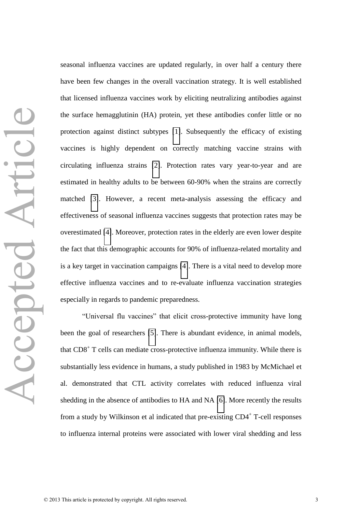seasonal influenza vaccines are updated regularly, in over half a century there have been few changes in the overall vaccination strategy. It is well established that licensed influenza vaccines work by eliciting neutralizing antibodies against the surface hemagglutinin (HA) protein, yet these antibodies confer little or no protection against distinct subtypes [\[1\]](#page-28-0). Subsequently the efficacy of existing vaccines is highly dependent on correctly matching vaccine strains with circulating influenza strains [\[2\]](#page-28-1). Protection rates vary year-to-year and are estimated in healthy adults to be between 60-90% when the strains are correctly matched [\[3\]](#page-28-2). However, a recent meta-analysis assessing the efficacy and effectiveness of seasonal influenza vaccines suggests that protection rates may be overestimated [\[4\]](#page-28-3). Moreover, protection rates in the elderly are even lower despite the fact that this demographic accounts for 90% of influenza-related mortality and is a key target in vaccination campaigns [\[4\]](#page-28-3). There is a vital need to develop more effective influenza vaccines and to re-evaluate influenza vaccination strategies especially in regards to pandemic preparedness.

"Universal flu vaccines" that elicit cross-protective immunity have long been the goal of researchers [\[5\]](#page-28-4). There is abundant evidence, in animal models, that CD8<sup>+</sup> T cells can mediate cross-protective influenza immunity. While there is substantially less evidence in humans, a study published in 1983 by McMichael et al. demonstrated that CTL activity correlates with reduced influenza viral shedding in the absence of antibodies to HA and NA [\[6\]](#page-28-5). More recently the results from a study by Wilkinson et al indicated that pre-existing CD4<sup>+</sup> T-cell responses to influenza internal proteins were associated with lower viral shedding and less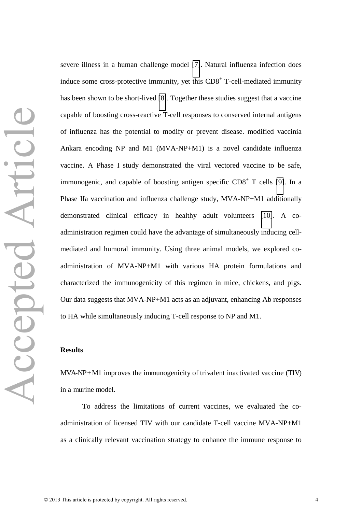severe illness in a human challenge model [\[7\]](#page-28-6). Natural influenza infection does induce some cross-protective immunity, yet this  $CDS<sup>+</sup> T-cell-mediated immunity$ has been shown to be short-lived [\[8\]](#page-28-7). Together these studies suggest that a vaccine capable of boosting cross-reactive T-cell responses to conserved internal antigens of influenza has the potential to modify or prevent disease. modified vaccinia Ankara encoding NP and M1 (MVA-NP+M1) is a novel candidate influenza vaccine. A Phase I study demonstrated the viral vectored vaccine to be safe, immunogenic, and capable of boosting antigen specific  $CD8<sup>+</sup>$  T cells [\[9\]](#page-28-8). In a Phase IIa vaccination and influenza challenge study, MVA-NP+M1 additionally demonstrated clinical efficacy in healthy adult volunteers [\[10\]](#page-28-9). A coadministration regimen could have the advantage of simultaneously inducing cellmediated and humoral immunity. Using three animal models, we explored coadministration of MVA-NP+M1 with various HA protein formulations and characterized the immunogenicity of this regimen in mice, chickens, and pigs. Our data suggests that MVA-NP+M1 acts as an adjuvant, enhancing Ab responses to HA while simultaneously inducing T-cell response to NP and M1.

#### **Results**

MVA-NP+M1 improves the immunogenicity of trivalent inactivated vaccine (TIV) in a murine model.

 To address the limitations of current vaccines, we evaluated the coadministration of licensed TIV with our candidate T-cell vaccine MVA-NP+M1 as a clinically relevant vaccination strategy to enhance the immune response to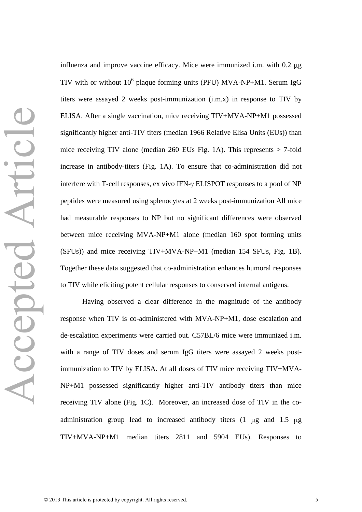influenza and improve vaccine efficacy. Mice were immunized i.m. with  $0.2 \mu$ g TIV with or without  $10^6$  plaque forming units (PFU) MVA-NP+M1. Serum IgG titers were assayed 2 weeks post-immunization (i.m.x) in response to TIV by ELISA. After a single vaccination, mice receiving TIV+MVA-NP+M1 possessed significantly higher anti-TIV titers (median 1966 Relative Elisa Units (EUs)) than mice receiving TIV alone (median 260 EUs Fig. 1A). This represents > 7-fold increase in antibody-titers (Fig. 1A). To ensure that co-administration did not interfere with T-cell responses, ex vivo IFN- $\gamma$  ELISPOT responses to a pool of NP peptides were measured using splenocytes at 2 weeks post-immunization All mice had measurable responses to NP but no significant differences were observed between mice receiving MVA-NP+M1 alone (median 160 spot forming units (SFUs)) and mice receiving TIV+MVA-NP+M1 (median 154 SFUs, Fig. 1B). Together these data suggested that co-administration enhances humoral responses to TIV while eliciting potent cellular responses to conserved internal antigens.

 Having observed a clear difference in the magnitude of the antibody response when TIV is co-administered with MVA-NP+M1, dose escalation and de-escalation experiments were carried out. C57BL/6 mice were immunized i.m. with a range of TIV doses and serum IgG titers were assayed 2 weeks postimmunization to TIV by ELISA. At all doses of TIV mice receiving TIV+MVA-NP+M1 possessed significantly higher anti-TIV antibody titers than mice receiving TIV alone (Fig. 1C). Moreover, an increased dose of TIV in the coadministration group lead to increased antibody titers  $(1 \mu g)$  and  $1.5 \mu g$ TIV+MVA-NP+M1 median titers 2811 and 5904 EUs). Responses to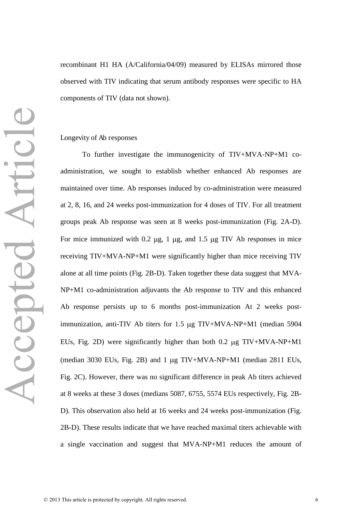recombinant H1 HA (A/California/04/09) measured by ELISAs mirrored those observed with TIV indicating that serum antibody responses were specific to HA components of TIV (data not shown).

#### Longevity of Ab responses

To further investigate the immunogenicity of TIV+MVA-NP+M1 coadministration, we sought to establish whether enhanced Ab responses are maintained over time. Ab responses induced by co-administration were measured at 2, 8, 16, and 24 weeks post-immunization for 4 doses of TIV. For all treatment groups peak Ab response was seen at 8 weeks post-immunization (Fig. 2A-D). For mice immunized with  $0.2 \mu g$ , 1  $\mu g$ , and 1.5  $\mu g$  TIV Ab responses in mice receiving TIV+MVA-NP+M1 were significantly higher than mice receiving TIV alone at all time points (Fig. 2B-D). Taken together these data suggest that MVA-NP+M1 co-administration adjuvants the Ab response to TIV and this enhanced Ab response persists up to 6 months post-immunization At 2 weeks postimmunization, anti-TIV Ab titers for 1.5 µg TIV+MVA-NP+M1 (median 5904 EUs, Fig. 2D) were significantly higher than both  $0.2 \mu$ g TIV+MVA-NP+M1 (median 3030 EUs, Fig. 2B) and 1  $\mu$ g TIV+MVA-NP+M1 (median 2811 EUs, Fig. 2C). However, there was no significant difference in peak Ab titers achieved at 8 weeks at these 3 doses (medians 5087, 6755, 5574 EUs respectively, Fig. 2B-D). This observation also held at 16 weeks and 24 weeks post-immunization (Fig. 2B-D). These results indicate that we have reached maximal titers achievable with a single vaccination and suggest that MVA-NP+M1 reduces the amount of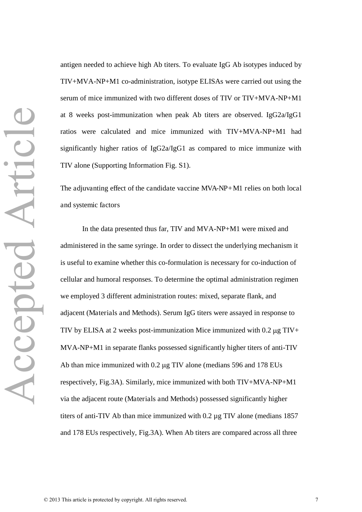antigen needed to achieve high Ab titers. To evaluate IgG Ab isotypes induced by TIV+MVA-NP+M1 co-administration, isotype ELISAs were carried out using the serum of mice immunized with two different doses of TIV or TIV+MVA-NP+M1 at 8 weeks post-immunization when peak Ab titers are observed. IgG2a/IgG1 ratios were calculated and mice immunized with TIV+MVA-NP+M1 had significantly higher ratios of IgG2a/IgG1 as compared to mice immunize with TIV alone (Supporting Information Fig. S1).

The adjuvanting effect of the candidate vaccine MVA-NP+M1 relies on both local and systemic factors

 In the data presented thus far, TIV and MVA-NP+M1 were mixed and administered in the same syringe. In order to dissect the underlying mechanism it is useful to examine whether this co-formulation is necessary for co-induction of cellular and humoral responses. To determine the optimal administration regimen we employed 3 different administration routes: mixed, separate flank, and adjacent (Materials and Methods). Serum IgG titers were assayed in response to TIV by ELISA at 2 weeks post-immunization Mice immunized with  $0.2 \mu g$  TIV+ MVA-NP+M1 in separate flanks possessed significantly higher titers of anti-TIV Ab than mice immunized with  $0.2 \mu$ g TIV alone (medians 596 and 178 EUs respectively, Fig.3A). Similarly, mice immunized with both TIV+MVA-NP+M1 via the adjacent route (Materials and Methods) possessed significantly higher titers of anti-TIV Ab than mice immunized with 0.2 µg TIV alone (medians 1857 and 178 EUs respectively, Fig.3A). When Ab titers are compared across all three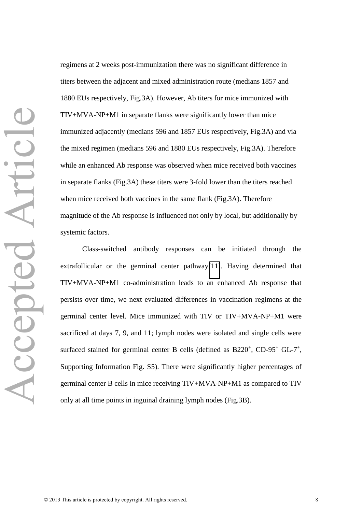regimens at 2 weeks post-immunization there was no significant difference in titers between the adjacent and mixed administration route (medians 1857 and 1880 EUs respectively, Fig.3A). However, Ab titers for mice immunized with TIV+MVA-NP+M1 in separate flanks were significantly lower than mice immunized adjacently (medians 596 and 1857 EUs respectively, Fig.3A) and via the mixed regimen (medians 596 and 1880 EUs respectively, Fig.3A). Therefore while an enhanced Ab response was observed when mice received both vaccines in separate flanks (Fig.3A) these titers were 3-fold lower than the titers reached when mice received both vaccines in the same flank (Fig.3A). Therefore magnitude of the Ab response is influenced not only by local, but additionally by systemic factors.

Class-switched antibody responses can be initiated through the extrafollicular or the germinal center pathway[\[11\]](#page-28-10). Having determined that TIV+MVA-NP+M1 co-administration leads to an enhanced Ab response that persists over time, we next evaluated differences in vaccination regimens at the germinal center level. Mice immunized with TIV or TIV+MVA-NP+M1 were sacrificed at days 7, 9, and 11; lymph nodes were isolated and single cells were surfaced stained for germinal center B cells (defined as  $B220^+$ , CD-95<sup>+</sup> GL-7<sup>+</sup>, Supporting Information Fig. S5). There were significantly higher percentages of germinal center B cells in mice receiving TIV+MVA-NP+M1 as compared to TIV only at all time points in inguinal draining lymph nodes (Fig.3B).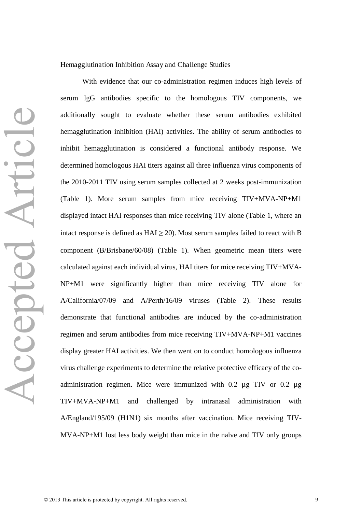With evidence that our co-administration regimen induces high levels of serum IgG antibodies specific to the homologous TIV components, we additionally sought to evaluate whether these serum antibodies exhibited hemagglutination inhibition (HAI) activities. The ability of serum antibodies to inhibit hemagglutination is considered a functional antibody response. We determined homologous HAI titers against all three influenza virus components of the 2010-2011 TIV using serum samples collected at 2 weeks post-immunization (Table 1). More serum samples from mice receiving TIV+MVA-NP+M1 displayed intact HAI responses than mice receiving TIV alone (Table 1, where an intact response is defined as  $HAI \geq 20$ ). Most serum samples failed to react with B component (B/Brisbane/60/08) (Table 1). When geometric mean titers were calculated against each individual virus, HAI titers for mice receiving TIV+MVA-NP+M1 were significantly higher than mice receiving TIV alone for A/California/07/09 and A/Perth/16/09 viruses (Table 2). These results demonstrate that functional antibodies are induced by the co-administration regimen and serum antibodies from mice receiving TIV+MVA-NP+M1 vaccines display greater HAI activities. We then went on to conduct homologous influenza virus challenge experiments to determine the relative protective efficacy of the coadministration regimen. Mice were immunized with 0.2 µg TIV or 0.2 µg TIV+MVA-NP+M1 and challenged by intranasal administration with A/England/195/09 (H1N1) six months after vaccination. Mice receiving TIV-MVA-NP+M1 lost less body weight than mice in the naïve and TIV only groups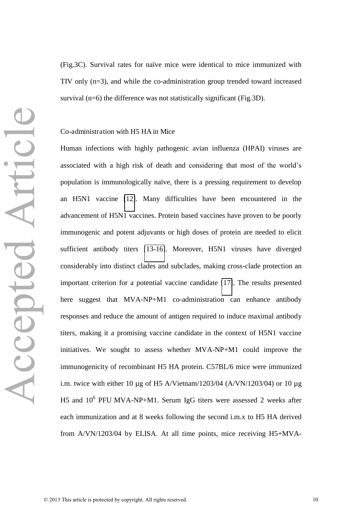(Fig.3C). Survival rates for naïve mice were identical to mice immunized with TIV only (n=3), and while the co-administration group trended toward increased survival (n=6) the difference was not statistically significant (Fig.3D).

#### Co-administration with H5 HA in Mice

Human infections with highly pathogenic avian influenza (HPAI) viruses are associated with a high risk of death and considering that most of the world's population is immunologically naïve, there is a pressing requirement to develop an H5N1 vaccine [\[12\]](#page-28-11). Many difficulties have been encountered in the advancement of H5N1 vaccines. Protein based vaccines have proven to be poorly immunogenic and potent adjuvants or high doses of protein are needed to elicit sufficient antibody titers [\[13-16\]](#page-29-0). Moreover, H5N1 viruses have diverged considerably into distinct clades and subclades, making cross-clade protection an important criterion for a potential vaccine candidate [\[17\]](#page-29-1). The results presented here suggest that MVA-NP+M1 co-administration can enhance antibody responses and reduce the amount of antigen required to induce maximal antibody titers, making it a promising vaccine candidate in the context of H5N1 vaccine initiatives. We sought to assess whether MVA-NP+M1 could improve the immunogenicity of recombinant H5 HA protein. C57BL/6 mice were immunized i.m. twice with either 10  $\mu$ g of H5 A/Vietnam/1203/04 (A/VN/1203/04) or 10  $\mu$ g H5 and  $10^6$  PFU MVA-NP+M1. Serum IgG titers were assessed 2 weeks after each immunization and at 8 weeks following the second i.m.x to H5 HA derived from A/VN/1203/04 by ELISA. At all time points, mice receiving H5+MVA-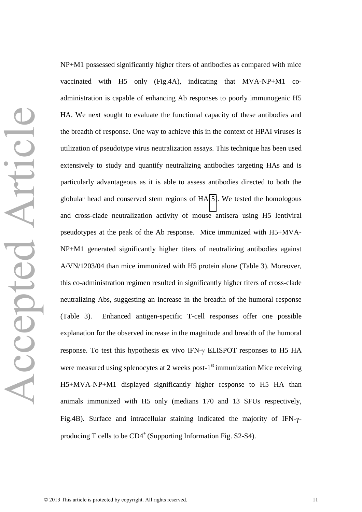NP+M1 possessed significantly higher titers of antibodies as compared with mice vaccinated with H5 only (Fig.4A), indicating that MVA-NP+M1 coadministration is capable of enhancing Ab responses to poorly immunogenic H5 HA. We next sought to evaluate the functional capacity of these antibodies and the breadth of response. One way to achieve this in the context of HPAI viruses is utilization of pseudotype virus neutralization assays. This technique has been used extensively to study and quantify neutralizing antibodies targeting HAs and is particularly advantageous as it is able to assess antibodies directed to both the globular head and conserved stem regions of HA[\[5\]](#page-28-4). We tested the homologous and cross-clade neutralization activity of mouse antisera using H5 lentiviral pseudotypes at the peak of the Ab response. Mice immunized with H5+MVA-NP+M1 generated significantly higher titers of neutralizing antibodies against A/VN/1203/04 than mice immunized with H5 protein alone (Table 3). Moreover, this co-administration regimen resulted in significantly higher titers of cross-clade neutralizing Abs, suggesting an increase in the breadth of the humoral response (Table 3). Enhanced antigen-specific T-cell responses offer one possible explanation for the observed increase in the magnitude and breadth of the humoral response. To test this hypothesis ex vivo IFN- $\gamma$  ELISPOT responses to H5 HA were measured using splenocytes at 2 weeks post- $1<sup>st</sup>$  immunization Mice receiving H5+MVA-NP+M1 displayed significantly higher response to H5 HA than animals immunized with H5 only (medians 170 and 13 SFUs respectively, Fig.4B). Surface and intracellular staining indicated the majority of IFN- $\gamma$ producing T cells to be  $CD4^+$  (Supporting Information Fig. S2-S4).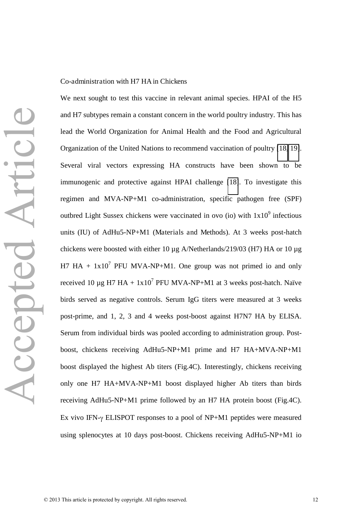#### Co-administration with H7 HA in Chickens

Accepted Article Accepted Article

and H7 subtypes remain a constant concern in the world poultry industry. This has lead the World Organization for Animal Health and the Food and Agricultural Organization of the United Nations to recommend vaccination of poultry [\[18,](#page-29-2) [19\]](#page-29-3). Several viral vectors expressing HA constructs have been shown to be immunogenic and protective against HPAI challenge [\[18\]](#page-29-2). To investigate this regimen and MVA-NP+M1 co-administration, specific pathogen free (SPF) outbred Light Sussex chickens were vaccinated in ovo (io) with  $1x10<sup>9</sup>$  infectious units (IU) of AdHu5-NP+M1 (Materials and Methods). At 3 weeks post-hatch chickens were boosted with either 10 µg A/Netherlands/219/03 (H7) HA or 10 µg H7 HA +  $1x10^7$  PFU MVA-NP+M1. One group was not primed io and only received 10  $\mu$ g H7 HA + 1x10<sup>7</sup> PFU MVA-NP+M1 at 3 weeks post-hatch. Naïve birds served as negative controls. Serum IgG titers were measured at 3 weeks post-prime, and 1, 2, 3 and 4 weeks post-boost against H7N7 HA by ELISA. Serum from individual birds was pooled according to administration group. Postboost, chickens receiving AdHu5-NP+M1 prime and H7 HA+MVA-NP+M1 boost displayed the highest Ab titers (Fig.4C). Interestingly, chickens receiving only one H7 HA+MVA-NP+M1 boost displayed higher Ab titers than birds receiving AdHu5-NP+M1 prime followed by an H7 HA protein boost (Fig.4C). Ex vivo IFN- $\gamma$  ELISPOT responses to a pool of NP+M1 peptides were measured using splenocytes at 10 days post-boost. Chickens receiving AdHu5-NP+M1 io

We next sought to test this vaccine in relevant animal species. HPAI of the H5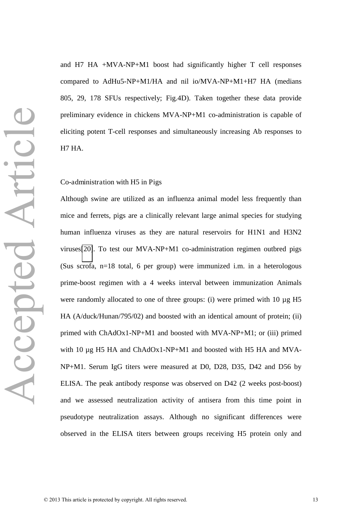and H7 HA +MVA-NP+M1 boost had significantly higher T cell responses compared to AdHu5-NP+M1/HA and nil io/MVA-NP+M1+H7 HA (medians 805, 29, 178 SFUs respectively; Fig.4D). Taken together these data provide preliminary evidence in chickens MVA-NP+M1 co-administration is capable of eliciting potent T-cell responses and simultaneously increasing Ab responses to H7 HA.

#### Co-administration with H5 in Pigs

Although swine are utilized as an influenza animal model less frequently than mice and ferrets, pigs are a clinically relevant large animal species for studying human influenza viruses as they are natural reservoirs for H1N1 and H3N2 viruses[\[20\]](#page-29-4). To test our MVA-NP+M1 co-administration regimen outbred pigs (Sus scrofa, n=18 total, 6 per group) were immunized i.m. in a heterologous prime-boost regimen with a 4 weeks interval between immunization Animals were randomly allocated to one of three groups: (i) were primed with 10  $\mu$ g H5 HA (A/duck/Hunan/795/02) and boosted with an identical amount of protein; (ii) primed with ChAdOx1-NP+M1 and boosted with MVA-NP+M1; or (iii) primed with 10 µg H5 HA and ChAdOx1-NP+M1 and boosted with H5 HA and MVA-NP+M1. Serum IgG titers were measured at D0, D28, D35, D42 and D56 by ELISA. The peak antibody response was observed on D42 (2 weeks post-boost) and we assessed neutralization activity of antisera from this time point in pseudotype neutralization assays. Although no significant differences were observed in the ELISA titers between groups receiving H5 protein only and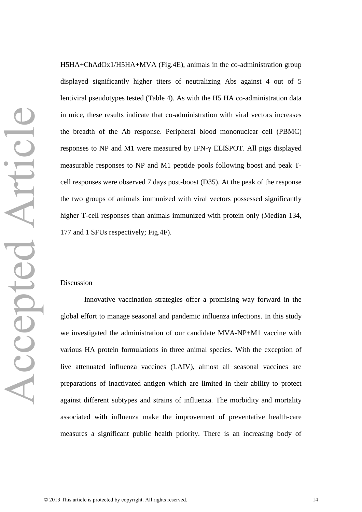H5HA+ChAdOx1/H5HA+MVA (Fig.4E), animals in the co-administration group displayed significantly higher titers of neutralizing Abs against 4 out of 5 lentiviral pseudotypes tested (Table 4). As with the H5 HA co-administration data in mice, these results indicate that co-administration with viral vectors increases the breadth of the Ab response. Peripheral blood mononuclear cell (PBMC) responses to NP and M1 were measured by IFN- $\gamma$  ELISPOT. All pigs displayed measurable responses to NP and M1 peptide pools following boost and peak Tcell responses were observed 7 days post-boost (D35). At the peak of the response the two groups of animals immunized with viral vectors possessed significantly higher T-cell responses than animals immunized with protein only (Median 134, 177 and 1 SFUs respectively; Fig.4F).

#### Discussion

 Innovative vaccination strategies offer a promising way forward in the global effort to manage seasonal and pandemic influenza infections. In this study we investigated the administration of our candidate MVA-NP+M1 vaccine with various HA protein formulations in three animal species. With the exception of live attenuated influenza vaccines (LAIV), almost all seasonal vaccines are preparations of inactivated antigen which are limited in their ability to protect against different subtypes and strains of influenza. The morbidity and mortality associated with influenza make the improvement of preventative health-care measures a significant public health priority. There is an increasing body of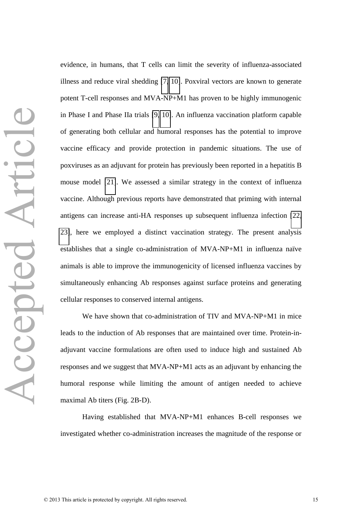evidence, in humans, that T cells can limit the severity of influenza-associated illness and reduce viral shedding [\[7,](#page-28-6) [10\]](#page-28-9). Poxviral vectors are known to generate potent T-cell responses and MVA-NP+M1 has proven to be highly immunogenic in Phase I and Phase IIa trials [\[9,](#page-28-8) [10\]](#page-28-9). An influenza vaccination platform capable of generating both cellular and humoral responses has the potential to improve vaccine efficacy and provide protection in pandemic situations. The use of poxviruses as an adjuvant for protein has previously been reported in a hepatitis B mouse model [\[21\]](#page-29-5). We assessed a similar strategy in the context of influenza vaccine. Although previous reports have demonstrated that priming with internal antigens can increase anti-HA responses up subsequent influenza infection [\[22,](#page-29-6) [23\]](#page-29-7), here we employed a distinct vaccination strategy. The present analysis establishes that a single co-administration of MVA-NP+M1 in influenza naïve animals is able to improve the immunogenicity of licensed influenza vaccines by simultaneously enhancing Ab responses against surface proteins and generating cellular responses to conserved internal antigens.

 We have shown that co-administration of TIV and MVA-NP+M1 in mice leads to the induction of Ab responses that are maintained over time. Protein-inadjuvant vaccine formulations are often used to induce high and sustained Ab responses and we suggest that MVA-NP+M1 acts as an adjuvant by enhancing the humoral response while limiting the amount of antigen needed to achieve maximal Ab titers (Fig. 2B-D).

 Having established that MVA-NP+M1 enhances B-cell responses we investigated whether co-administration increases the magnitude of the response or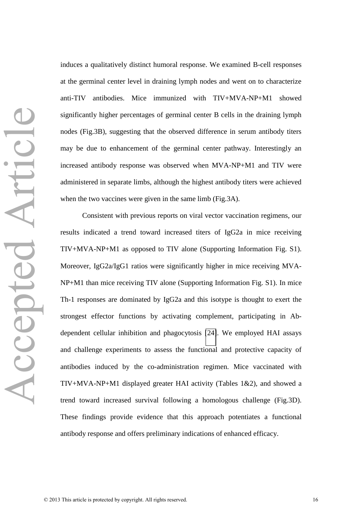induces a qualitatively distinct humoral response. We examined B-cell responses at the germinal center level in draining lymph nodes and went on to characterize anti-TIV antibodies. Mice immunized with TIV+MVA-NP+M1 showed significantly higher percentages of germinal center B cells in the draining lymph nodes (Fig.3B), suggesting that the observed difference in serum antibody titers may be due to enhancement of the germinal center pathway. Interestingly an increased antibody response was observed when MVA-NP+M1 and TIV were administered in separate limbs, although the highest antibody titers were achieved when the two vaccines were given in the same limb (Fig.3A).

Consistent with previous reports on viral vector vaccination regimens, our results indicated a trend toward increased titers of IgG2a in mice receiving TIV+MVA-NP+M1 as opposed to TIV alone (Supporting Information Fig. S1). Moreover, IgG2a/IgG1 ratios were significantly higher in mice receiving MVA-NP+M1 than mice receiving TIV alone (Supporting Information Fig. S1). In mice Th-1 responses are dominated by IgG2a and this isotype is thought to exert the strongest effector functions by activating complement, participating in Abdependent cellular inhibition and phagocytosis [\[24\]](#page-30-0). We employed HAI assays and challenge experiments to assess the functional and protective capacity of antibodies induced by the co-administration regimen. Mice vaccinated with TIV+MVA-NP+M1 displayed greater HAI activity (Tables 1&2), and showed a trend toward increased survival following a homologous challenge (Fig.3D). These findings provide evidence that this approach potentiates a functional antibody response and offers preliminary indications of enhanced efficacy.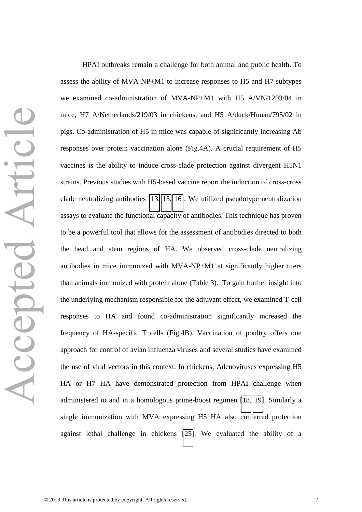HPAI outbreaks remain a challenge for both animal and public health. To assess the ability of MVA-NP+M1 to increase responses to H5 and H7 subtypes we examined co-administration of MVA-NP+M1 with H5 A/VN/1203/04 in mice, H7 A/Netherlands/219/03 in chickens, and H5 A/duck/Hunan/795/02 in pigs. Co-administration of H5 in mice was capable of significantly increasing Ab responses over protein vaccination alone (Fig.4A). A crucial requirement of H5 vaccines is the ability to induce cross-clade protection against divergent H5N1 strains. Previous studies with H5-based vaccine report the induction of cross-cross clade neutralizing antibodies [\[13,](#page-29-0) [15,](#page-29-8) [16\]](#page-29-9). We utilized pseudotype neutralization assays to evaluate the functional capacity of antibodies. This technique has proven to be a powerful tool that allows for the assessment of antibodies directed to both the head and stem regions of HA. We observed cross-clade neutralizing antibodies in mice immunized with MVA-NP+M1 at significantly higher titers than animals immunized with protein alone (Table 3). To gain further insight into the underlying mechanism responsible for the adjuvant effect, we examined T-cell responses to HA and found co-administration significantly increased the frequency of HA-specific T cells (Fig.4B). Vaccination of poultry offers one approach for control of avian influenza viruses and several studies have examined the use of viral vectors in this context. In chickens, Adenoviruses expressing H5 HA or H7 HA have demonstrated protection from HPAI challenge when administered io and in a homologous prime-boost regimen [\[18,](#page-29-2) [19\]](#page-29-3). Similarly a single immunization with MVA expressing H5 HA also conferred protection against lethal challenge in chickens [\[25\]](#page-30-1). We evaluated the ability of a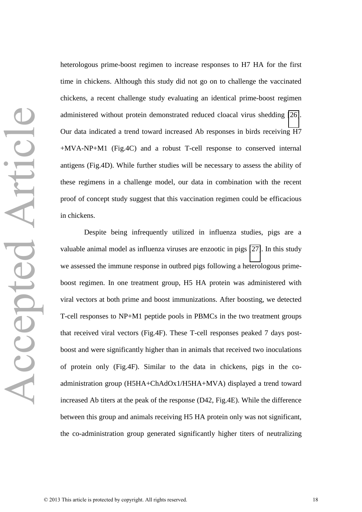heterologous prime-boost regimen to increase responses to H7 HA for the first time in chickens. Although this study did not go on to challenge the vaccinated chickens, a recent challenge study evaluating an identical prime-boost regimen administered without protein demonstrated reduced cloacal virus shedding [\[26\]](#page-30-2). Our data indicated a trend toward increased Ab responses in birds receiving H7 +MVA-NP+M1 (Fig.4C) and a robust T-cell response to conserved internal antigens (Fig.4D). While further studies will be necessary to assess the ability of these regimens in a challenge model, our data in combination with the recent proof of concept study suggest that this vaccination regimen could be efficacious in chickens.

 Despite being infrequently utilized in influenza studies, pigs are a valuable animal model as influenza viruses are enzootic in pigs [\[27\]](#page-30-3). In this study we assessed the immune response in outbred pigs following a heterologous primeboost regimen. In one treatment group, H5 HA protein was administered with viral vectors at both prime and boost immunizations. After boosting, we detected T-cell responses to NP+M1 peptide pools in PBMCs in the two treatment groups that received viral vectors (Fig.4F). These T-cell responses peaked 7 days postboost and were significantly higher than in animals that received two inoculations of protein only (Fig.4F). Similar to the data in chickens, pigs in the coadministration group (H5HA+ChAdOx1/H5HA+MVA) displayed a trend toward increased Ab titers at the peak of the response (D42, Fig.4E). While the difference between this group and animals receiving H5 HA protein only was not significant, the co-administration group generated significantly higher titers of neutralizing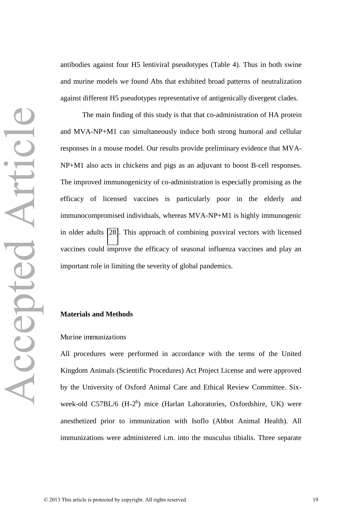antibodies against four H5 lentiviral pseudotypes (Table 4). Thus in both swine and murine models we found Abs that exhibited broad patterns of neutralization against different H5 pseudotypes representative of antigenically divergent clades.

The main finding of this study is that that co-administration of HA protein and MVA-NP+M1 can simultaneously induce both strong humoral and cellular responses in a mouse model. Our results provide preliminary evidence that MVA-NP+M1 also acts in chickens and pigs as an adjuvant to boost B-cell responses. The improved immunogenicity of co-administration is especially promising as the efficacy of licensed vaccines is particularly poor in the elderly and immunocompromised individuals, whereas MVA-NP+M1 is highly immunogenic in older adults [\[28\]](#page-30-4). This approach of combining poxviral vectors with licensed vaccines could improve the efficacy of seasonal influenza vaccines and play an important role in limiting the severity of global pandemics.

#### **Materials and Methods**

#### Murine immunizations

All procedures were performed in accordance with the terms of the United Kingdom Animals (Scientific Procedures) Act Project License and were approved by the University of Oxford Animal Care and Ethical Review Committee. Sixweek-old C57BL/6  $(H-2^b)$  mice (Harlan Laboratories, Oxfordshire, UK) were anesthetized prior to immunization with Isoflo (Abbot Animal Health). All immunizations were administered i.m. into the musculus tibialis. Three separate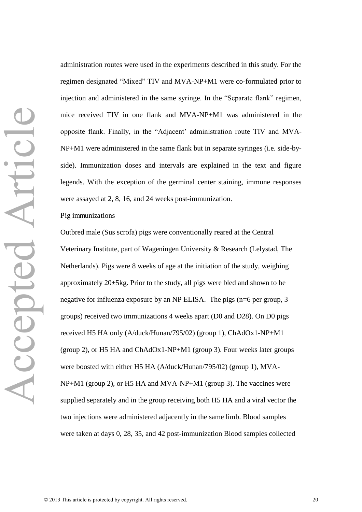administration routes were used in the experiments described in this study. For the regimen designated "Mixed" TIV and MVA-NP+M1 were co-formulated prior to injection and administered in the same syringe. In the "Separate flank" regimen, mice received TIV in one flank and MVA-NP+M1 was administered in the opposite flank. Finally, in the "Adjacent' administration route TIV and MVA-NP+M1 were administered in the same flank but in separate syringes (i.e. side-byside). Immunization doses and intervals are explained in the text and figure legends. With the exception of the germinal center staining, immune responses were assayed at 2, 8, 16, and 24 weeks post-immunization.

#### Pig immunizations

Outbred male (Sus scrofa) pigs were conventionally reared at the Central Veterinary Institute, part of Wageningen University & Research (Lelystad, The Netherlands). Pigs were 8 weeks of age at the initiation of the study, weighing approximately 20±5kg. Prior to the study, all pigs were bled and shown to be negative for influenza exposure by an NP ELISA. The pigs (n=6 per group, 3 groups) received two immunizations 4 weeks apart (D0 and D28). On D0 pigs received H5 HA only (A/duck/Hunan/795/02) (group 1), ChAdOx1-NP+M1 (group 2), or H5 HA and ChAdOx1-NP+M1 (group 3). Four weeks later groups were boosted with either H5 HA (A/duck/Hunan/795/02) (group 1), MVA-NP+M1 (group 2), or H5 HA and MVA-NP+M1 (group 3). The vaccines were supplied separately and in the group receiving both H5 HA and a viral vector the two injections were administered adjacently in the same limb. Blood samples were taken at days 0, 28, 35, and 42 post-immunization Blood samples collected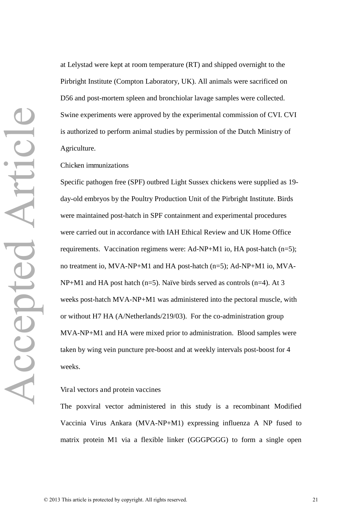at Lelystad were kept at room temperature (RT) and shipped overnight to the Pirbright Institute (Compton Laboratory, UK). All animals were sacrificed on D56 and post-mortem spleen and bronchiolar lavage samples were collected. Swine experiments were approved by the experimental commission of CVI. CVI is authorized to perform animal studies by permission of the Dutch Ministry of Agriculture.

Chicken immunizations

Specific pathogen free (SPF) outbred Light Sussex chickens were supplied as 19 day-old embryos by the Poultry Production Unit of the Pirbright Institute. Birds were maintained post-hatch in SPF containment and experimental procedures were carried out in accordance with IAH Ethical Review and UK Home Office requirements. Vaccination regimens were: Ad-NP+M1 io, HA post-hatch (n=5); no treatment io, MVA-NP+M1 and HA post-hatch (n=5); Ad-NP+M1 io, MVA-NP+M1 and HA post hatch (n=5). Naïve birds served as controls (n=4). At 3 weeks post-hatch MVA-NP+M1 was administered into the pectoral muscle, with or without H7 HA (A/Netherlands/219/03). For the co-administration group MVA-NP+M1 and HA were mixed prior to administration. Blood samples were taken by wing vein puncture pre-boost and at weekly intervals post-boost for 4 weeks.

#### Viral vectors and protein vaccines

The poxviral vector administered in this study is a recombinant Modified Vaccinia Virus Ankara (MVA-NP+M1) expressing influenza A NP fused to matrix protein M1 via a flexible linker (GGGPGGG) to form a single open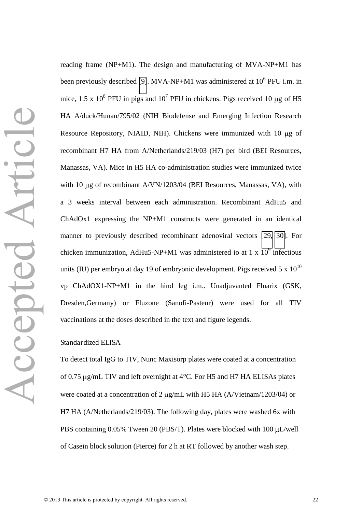reading frame (NP+M1). The design and manufacturing of MVA-NP+M1 has been previously described [\[9\]](#page-28-8). MVA-NP+M1 was administered at  $10^6$  PFU i.m. in mice, 1.5 x  $10^8$  PFU in pigs and  $10^7$  PFU in chickens. Pigs received 10  $\mu$ g of H5 HA A/duck/Hunan/795/02 (NIH Biodefense and Emerging Infection Research Resource Repository, NIAID, NIH). Chickens were immunized with  $10 \mu g$  of recombinant H7 HA from A/Netherlands/219/03 (H7) per bird (BEI Resources, Manassas, VA). Mice in H5 HA co-administration studies were immunized twice with 10 µg of recombinant A/VN/1203/04 (BEI Resources, Manassas, VA), with a 3 weeks interval between each administration. Recombinant AdHu5 and ChAdOx1 expressing the NP+M1 constructs were generated in an identical manner to previously described recombinant adenoviral vectors [\[29,](#page-30-5) [30\]](#page-30-6). For chicken immunization, AdHu5-NP+M1 was administered io at 1 x  $10^9$  infectious units (IU) per embryo at day 19 of embryonic development. Pigs received 5 x  $10^{10}$ vp ChAdOX1-NP+M1 in the hind leg i.m.. Unadjuvanted Fluarix (GSK, Dresden,Germany) or Fluzone (Sanofi-Pasteur) were used for all TIV vaccinations at the doses described in the text and figure legends.

#### Standardized ELISA

To detect total IgG to TIV, Nunc Maxisorp plates were coated at a concentration of 0.75  $\mu$ g/mL TIV and left overnight at 4 $\rm ^{o}C$ . For H5 and H7 HA ELISAs plates were coated at a concentration of 2  $\mu$ g/mL with H5 HA (A/Vietnam/1203/04) or H7 HA (A/Netherlands/219/03). The following day, plates were washed 6x with PBS containing  $0.05\%$  Tween 20 (PBS/T). Plates were blocked with 100  $\mu$ L/well of Casein block solution (Pierce) for 2 h at RT followed by another wash step.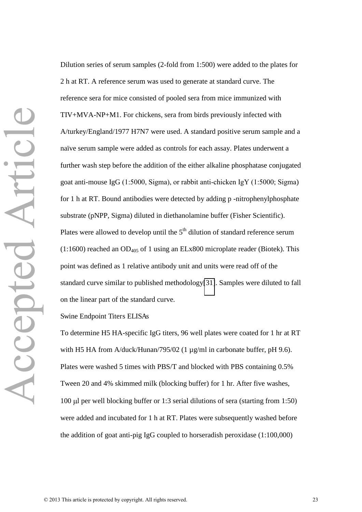Dilution series of serum samples (2-fold from 1:500) were added to the plates for 2 h at RT. A reference serum was used to generate at standard curve. The reference sera for mice consisted of pooled sera from mice immunized with TIV+MVA-NP+M1. For chickens, sera from birds previously infected with A/turkey/England/1977 H7N7 were used. A standard positive serum sample and a naïve serum sample were added as controls for each assay. Plates underwent a further wash step before the addition of the either alkaline phosphatase conjugated goat anti-mouse IgG (1:5000, Sigma), or rabbit anti-chicken IgY (1:5000; Sigma) for 1 h at RT. Bound antibodies were detected by adding p -nitrophenylphosphate substrate (pNPP, Sigma) diluted in diethanolamine buffer (Fisher Scientific). Plates were allowed to develop until the  $5<sup>th</sup>$  dilution of standard reference serum (1:1600) reached an  $OD<sub>405</sub>$  of 1 using an ELx800 microplate reader (Biotek). This point was defined as 1 relative antibody unit and units were read off of the standard curve similar to published methodology[\[31\]](#page-30-7). Samples were diluted to fall on the linear part of the standard curve.

#### Swine Endpoint Titers ELISAs

To determine H5 HA-specific IgG titers, 96 well plates were coated for 1 hr at RT with H5 HA from A/duck/Hunan/795/02 (1 µg/ml in carbonate buffer, pH 9.6). Plates were washed 5 times with PBS/T and blocked with PBS containing 0.5% Tween 20 and 4% skimmed milk (blocking buffer) for 1 hr. After five washes, 100  $\mu$ l per well blocking buffer or 1:3 serial dilutions of sera (starting from 1:50) were added and incubated for 1 h at RT. Plates were subsequently washed before the addition of goat anti-pig IgG coupled to horseradish peroxidase (1:100,000)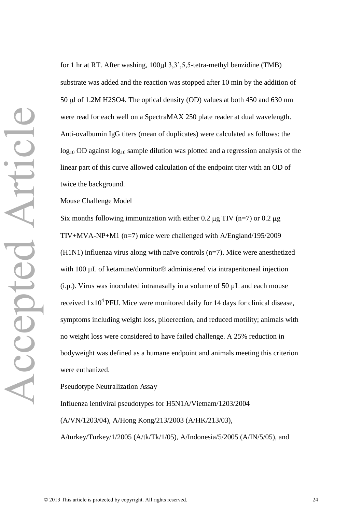for 1 hr at RT. After washing,  $100 \mu$ l 3,3',5,5-tetra-methyl benzidine (TMB) substrate was added and the reaction was stopped after 10 min by the addition of 50  $\mu$ l of 1.2M H2SO4. The optical density (OD) values at both 450 and 630 nm were read for each well on a SpectraMAX 250 plate reader at dual wavelength. Anti-ovalbumin IgG titers (mean of duplicates) were calculated as follows: the  $log_{10}$  OD against  $log_{10}$  sample dilution was plotted and a regression analysis of the linear part of this curve allowed calculation of the endpoint titer with an OD of twice the background.

Mouse Challenge Model

Six months following immunization with either 0.2  $\mu$ g TIV (n=7) or 0.2  $\mu$ g TIV+MVA-NP+M1 (n=7) mice were challenged with A/England/195/2009 (H1N1) influenza virus along with naïve controls (n=7). Mice were anesthetized with 100 µL of ketamine/dormitor<sup>®</sup> administered via intraperitoneal injection (i.p.). Virus was inoculated intranasally in a volume of 50  $\mu$ L and each mouse received  $1x10<sup>4</sup>$  PFU. Mice were monitored daily for 14 days for clinical disease, symptoms including weight loss, piloerection, and reduced motility; animals with no weight loss were considered to have failed challenge. A 25% reduction in bodyweight was defined as a humane endpoint and animals meeting this criterion were euthanized.

Pseudotype Neutralization Assay

Influenza lentiviral pseudotypes for H5N1A/Vietnam/1203/2004 (A/VN/1203/04), A/Hong Kong/213/2003 (A/HK/213/03), A/turkey/Turkey/1/2005 (A/tk/Tk/1/05), A/Indonesia/5/2005 (A/IN/5/05), and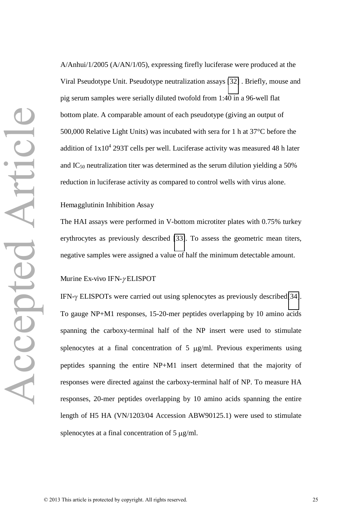A/Anhui/1/2005 (A/AN/1/05), expressing firefly luciferase were produced at the Viral Pseudotype Unit. Pseudotype neutralization assays [\[32\]](#page-30-8) . Briefly, mouse and pig serum samples were serially diluted twofold from 1:40 in a 96-well flat bottom plate. A comparable amount of each pseudotype (giving an output of 500,000 Relative Light Units) was incubated with sera for 1 h at 37°C before the addition of  $1x10^4$  293T cells per well. Luciferase activity was measured 48 h later and  $IC_{50}$  neutralization titer was determined as the serum dilution yielding a 50% reduction in luciferase activity as compared to control wells with virus alone.

#### Hemagglutinin Inhibition Assay

The HAI assays were performed in V-bottom microtiter plates with 0.75% turkey erythrocytes as previously described [\[33\]](#page-30-9). To assess the geometric mean titers, negative samples were assigned a value of half the minimum detectable amount.

#### Murine Ex-vivo IFN- $\gamma$ ELISPOT

IFN- $\gamma$  ELISPOTs were carried out using splenocytes as previously described[\[34\]](#page-30-10). To gauge NP+M1 responses, 15-20-mer peptides overlapping by 10 amino acids spanning the carboxy-terminal half of the NP insert were used to stimulate splenocytes at a final concentration of  $5 \mu g/ml$ . Previous experiments using peptides spanning the entire NP+M1 insert determined that the majority of responses were directed against the carboxy-terminal half of NP. To measure HA responses, 20-mer peptides overlapping by 10 amino acids spanning the entire length of H5 HA (VN/1203/04 Accession ABW90125.1) were used to stimulate splenocytes at a final concentration of  $5 \mu g/ml$ .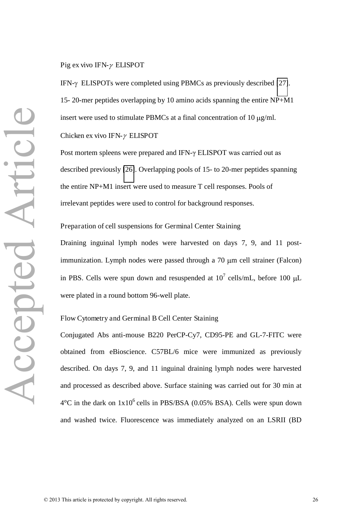Pig ex vivo IFN- $\gamma$  ELISPOT

IFN- $\gamma$  ELISPOTs were completed using PBMCs as previously described [\[27\]](#page-30-3). 15- 20-mer peptides overlapping by 10 amino acids spanning the entire NP+M1 insert were used to stimulate PBMCs at a final concentration of 10  $\mu$ g/ml.

Chicken ex vivo IFN- $\gamma$  ELISPOT

Post mortem spleens were prepared and IFN-γ ELISPOT was carried out as described previously [\[26\]](#page-30-2). Overlapping pools of 15- to 20-mer peptides spanning the entire NP+M1 insert were used to measure T cell responses. Pools of irrelevant peptides were used to control for background responses.

Preparation of cell suspensions for Germinal Center Staining

Draining inguinal lymph nodes were harvested on days 7, 9, and 11 postimmunization. Lymph nodes were passed through a 70 µm cell strainer (Falcon) in PBS. Cells were spun down and resuspended at  $10^7$  cells/mL, before 100  $\mu$ L were plated in a round bottom 96-well plate.

Flow Cytometry and Germinal B Cell Center Staining

Conjugated Abs anti-mouse B220 PerCP-Cy7, CD95-PE and GL-7-FITC were obtained from eBioscience. C57BL/6 mice were immunized as previously described. On days 7, 9, and 11 inguinal draining lymph nodes were harvested and processed as described above. Surface staining was carried out for 30 min at  $4^{\circ}$ C in the dark on  $1x10^{\circ}$  cells in PBS/BSA (0.05% BSA). Cells were spun down and washed twice. Fluorescence was immediately analyzed on an LSRII (BD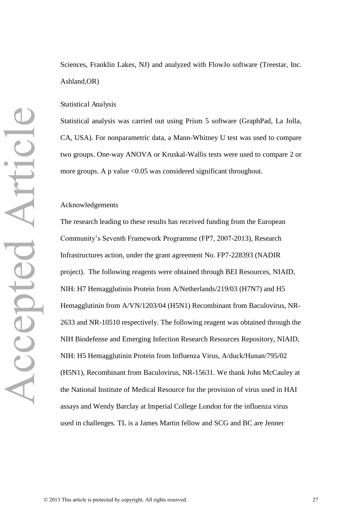Sciences, Franklin Lakes, NJ) and analyzed with FlowJo software (Treestar, Inc. Ashland,OR)

#### Statistical Analysis

Statistical analysis was carried out using Prism 5 software (GraphPad, La Jolla, CA, USA). For nonparametric data, a Mann-Whitney U test was used to compare two groups. One-way ANOVA or Kruskal-Wallis tests were used to compare 2 or more groups. A p value  $\langle 0.05 \rangle$  was considered significant throughout.

#### Acknowledgements

The research leading to these results has received funding from the European Community's Seventh Framework Programme (FP7, 2007-2013), Research Infrastructures action, under the grant agreement No. FP7-228393 (NADIR project). The following reagents were obtained through BEI Resources, NIAID, NIH: H7 Hemagglutinin Protein from A/Netherlands/219/03 (H7N7) and H5 Hemagglutinin from A/VN/1203/04 (H5N1) Recombinant from Baculovirus, NR-2633 and NR-10510 respectively. The following reagent was obtained through the NIH Biodefense and Emerging Infection Research Resources Repository, NIAID, NIH: H5 Hemagglutinin Protein from Influenza Virus, A/duck/Hunan/795/02 (H5N1), Recombinant from Baculovirus, NR-15631. We thank John McCauley at the National Institute of Medical Resource for the provision of virus used in HAI assays and Wendy Barclay at Imperial College London for the influenza virus used in challenges. TL is a James Martin fellow and SCG and BC are Jenner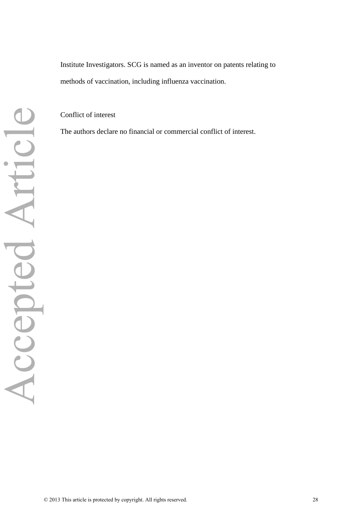<span id="page-28-0"></span>Institute Investigators. SCG is named as an inventor on patents relating to methods of vaccination, including influenza vaccination.

<span id="page-28-2"></span><span id="page-28-1"></span>Conflict of interest

<span id="page-28-11"></span><span id="page-28-10"></span><span id="page-28-9"></span><span id="page-28-8"></span><span id="page-28-7"></span><span id="page-28-6"></span><span id="page-28-5"></span><span id="page-28-4"></span><span id="page-28-3"></span>The authors declare no financial or commercial conflict of interest.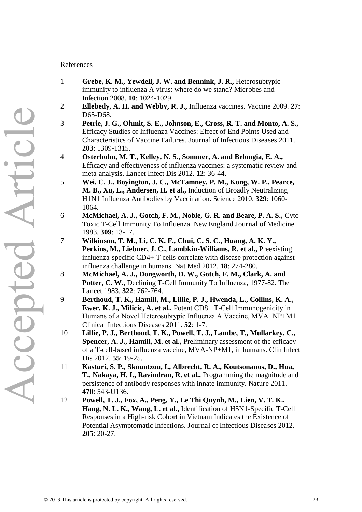#### <span id="page-29-0"></span>References

- 1 **Grebe, K. M., Yewdell, J. W. and Bennink, J. R.,** Heterosubtypic immunity to influenza A virus: where do we stand? Microbes and Infection 2008. **10**: 1024-1029.
- 2 **Ellebedy, A. H. and Webby, R. J.,** Influenza vaccines. Vaccine 2009. **27**: D65-D68.
- 3 **Petrie, J. G., Ohmit, S. E., Johnson, E., Cross, R. T. and Monto, A. S.,** Efficacy Studies of Influenza Vaccines: Effect of End Points Used and Characteristics of Vaccine Failures. Journal of Infectious Diseases 2011. **203**: 1309-1315.
- <span id="page-29-8"></span>4 **Osterholm, M. T., Kelley, N. S., Sommer, A. and Belongia, E. A.,** Efficacy and effectiveness of influenza vaccines: a systematic review and meta-analysis. Lancet Infect Dis 2012. **12**: 36-44.
- 5 **Wei, C. J., Boyington, J. C., McTamney, P. M., Kong, W. P., Pearce, M. B., Xu, L., Andersen, H. et al.,** Induction of Broadly Neutralizing H1N1 Influenza Antibodies by Vaccination. Science 2010. **329**: 1060- 1064.
- <span id="page-29-9"></span>6 **McMichael, A. J., Gotch, F. M., Noble, G. R. and Beare, P. A. S.,** Cyto-Toxic T-Cell Immunity To Influenza. New England Journal of Medicine 1983. **309**: 13-17.
- <span id="page-29-1"></span>7 **Wilkinson, T. M., Li, C. K. F., Chui, C. S. C., Huang, A. K. Y., Perkins, M., Liebner, J. C., Lambkin-Williams, R. et al.,** Preexisting influenza-specific CD4+ T cells correlate with disease protection against influenza challenge in humans. Nat Med 2012. **18**: 274-280.
- <span id="page-29-2"></span>8 **McMichael, A. J., Dongworth, D. W., Gotch, F. M., Clark, A. and Potter, C. W.,** Declining T-Cell Immunity To Influenza, 1977-82. The Lancet 1983. **322**: 762-764.
- <span id="page-29-3"></span>9 **Berthoud, T. K., Hamill, M., Lillie, P. J., Hwenda, L., Collins, K. A., Ewer, K. J., Milicic, A. et al.,** Potent CD8+ T-Cell Immunogenicity in Humans of a Novel Heterosubtypic Influenza A Vaccine, MVA−NP+M1. Clinical Infectious Diseases 2011. **52**: 1-7.
- <span id="page-29-4"></span>10 **Lillie, P. J., Berthoud, T. K., Powell, T. J., Lambe, T., Mullarkey, C., Spencer, A. J., Hamill, M. et al.,** Preliminary assessment of the efficacy of a T-cell-based influenza vaccine, MVA-NP+M1, in humans. Clin Infect Dis 2012. **55**: 19-25.
- <span id="page-29-5"></span>11 **Kasturi, S. P., Skountzou, I., Albrecht, R. A., Koutsonanos, D., Hua, T., Nakaya, H. I., Ravindran, R. et al.,** Programming the magnitude and persistence of antibody responses with innate immunity. Nature 2011. **470**: 543-U136.
- <span id="page-29-7"></span><span id="page-29-6"></span>12 **Powell, T. J., Fox, A., Peng, Y., Le Thi Quynh, M., Lien, V. T. K., Hang, N. L. K., Wang, L. et al.,** Identification of H5N1-Specific T-Cell Responses in a High-risk Cohort in Vietnam Indicates the Existence of Potential Asymptomatic Infections. Journal of Infectious Diseases 2012. **205**: 20-27.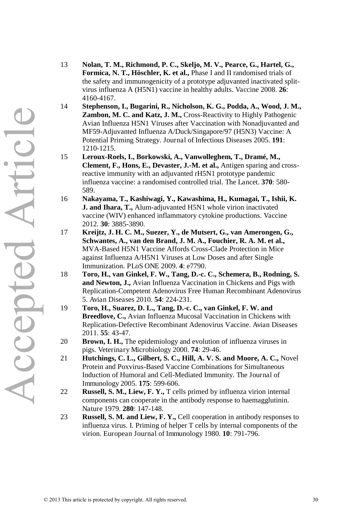- <span id="page-30-0"></span>13 **Nolan, T. M., Richmond, P. C., Skeljo, M. V., Pearce, G., Hartel, G., Formica, N. T., Höschler, K. et al.,** Phase I and II randomised trials of the safety and immunogenicity of a prototype adjuvanted inactivated splitvirus influenza A (H5N1) vaccine in healthy adults. Vaccine 2008. **26**: 4160-4167.
- <span id="page-30-2"></span><span id="page-30-1"></span>14 **Stephenson, I., Bugarini, R., Nicholson, K. G., Podda, A., Wood, J. M., Zambon, M. C. and Katz, J. M.,** Cross-Reactivity to Highly Pathogenic Avian Influenza H5N1 Viruses after Vaccination with Nonadjuvanted and MF59-Adjuvanted Influenza A/Duck/Singapore/97 (H5N3) Vaccine: A Potential Priming Strategy. Journal of Infectious Diseases 2005. **191**: 1210-1215.
- 15 **Leroux-Roels, I., Borkowski, A., Vanwolleghem, T., Dramé, M., Clement, F., Hons, E., Devaster, J.-M. et al.,** Antigen sparing and crossreactive immunity with an adjuvanted rH5N1 prototype pandemic influenza vaccine: a randomised controlled trial. The Lancet. **370**: 580- 589.
- <span id="page-30-4"></span><span id="page-30-3"></span>16 **Nakayama, T., Kashiwagi, Y., Kawashima, H., Kumagai, T., Ishii, K. J. and Ihara, T.,** Alum-adjuvanted H5N1 whole virion inactivated vaccine (WIV) enhanced inflammatory cytokine productions. Vaccine 2012. **30**: 3885-3890.
- <span id="page-30-5"></span>17 **Kreijtz, J. H. C. M., Suezer, Y., de Mutsert, G., van Amerongen, G., Schwantes, A., van den Brand, J. M. A., Fouchier, R. A. M. et al.,** MVA-Based H5N1 Vaccine Affords Cross-Clade Protection in Mice against Influenza A/H5N1 Viruses at Low Doses and after Single Immunization. PLoS ONE 2009. **4**: e7790.
- <span id="page-30-6"></span>18 **Toro, H., van Ginkel, F. W., Tang, D.-c. C., Schemera, B., Rodning, S. and Newton, J.,** Avian Influenza Vaccination in Chickens and Pigs with Replication-Competent Adenovirus Free Human Recombinant Adenovirus 5. Avian Diseases 2010. **54**: 224-231.
- <span id="page-30-7"></span>19 **Toro, H., Suarez, D. L., Tang, D.-c. C., van Ginkel, F. W. and Breedlove, C.,** Avian Influenza Mucosal Vaccination in Chickens with Replication-Defective Recombinant Adenovirus Vaccine. Avian Diseases 2011. **55**: 43-47.
- 20 **Brown, I. H.,** The epidemiology and evolution of influenza viruses in pigs. Veterinary Microbiology 2000. **74**: 29-46.
- <span id="page-30-8"></span>21 **Hutchings, C. L., Gilbert, S. C., Hill, A. V. S. and Moore, A. C.,** Novel Protein and Poxvirus-Based Vaccine Combinations for Simultaneous Induction of Humoral and Cell-Mediated Immunity. The Journal of Immunology 2005. **175**: 599-606.
- <span id="page-30-10"></span><span id="page-30-9"></span>22 **Russell, S. M., Liew, F. Y.,** T cells primed by influenza virion internal components can cooperate in the antibody response to haemagglutinin. Nature 1979. **280**: 147-148.
- 23 **Russell, S. M. and Liew, F. Y.,** Cell cooperation in antibody responses to influenza virus. I. Priming of helper T cells by internal components of the virion. European Journal of Immunology 1980. **10**: 791-796.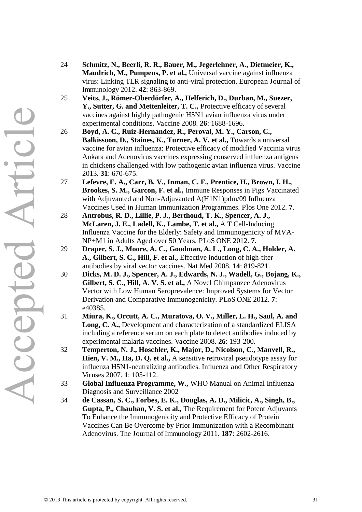- **Maudrich, M., Pumpens, P. et al.,** Universal vaccine against influenza virus: Linking TLR signaling to anti-viral protection. European Journal of Immunology 2012. **42**: 863-869. 25 **Veits, J., Römer-Oberdörfer, A., Helferich, D., Durban, M., Suezer, Y., Sutter, G. and Mettenleiter, T. C.,** Protective efficacy of several vaccines against highly pathogenic H5N1 avian influenza virus under experimental conditions. Vaccine 2008. **26**: 1688-1696.
	- 26 **Boyd, A. C., Ruiz-Hernandez, R., Peroval, M. Y., Carson, C., Balkissoon, D., Staines, K., Turner, A. V. et al.,** Towards a universal vaccine for avian influenza: Protective efficacy of modified Vaccinia virus Ankara and Adenovirus vaccines expressing conserved influenza antigens in chickens challenged with low pathogenic avian influenza virus. Vaccine 2013. **31**: 670-675.

24 **Schmitz, N., Beerli, R. R., Bauer, M., Jegerlehner, A., Dietmeier, K.,** 

- 27 **Lefevre, E. A., Carr, B. V., Inman, C. F., Prentice, H., Brown, I. H., Brookes, S. M., Garcon, F. et al.,** Immune Responses in Pigs Vaccinated with Adjuvanted and Non-Adjuvanted A(H1N1)pdm/09 Influenza Vaccines Used in Human Immunization Programmes. Plos One 2012. **7**.
- 28 **Antrobus, R. D., Lillie, P. J., Berthoud, T. K., Spencer, A. J., McLaren, J. E., Ladell, K., Lambe, T. et al.,** A T Cell-Inducing Influenza Vaccine for the Elderly: Safety and Immunogenicity of MVA-NP+M1 in Adults Aged over 50 Years. PLoS ONE 2012. **7**.
- 29 **Draper, S. J., Moore, A. C., Goodman, A. L., Long, C. A., Holder, A. A., Gilbert, S. C., Hill, F. et al.,** Effective induction of high-titer antibodies by viral vector vaccines. Nat Med 2008. **14**: 819-821.
- 30 **Dicks, M. D. J., Spencer, A. J., Edwards, N. J., Wadell, G., Bojang, K., Gilbert, S. C., Hill, A. V. S. et al.,** A Novel Chimpanzee Adenovirus Vector with Low Human Seroprevalence: Improved Systems for Vector Derivation and Comparative Immunogenicity. PLoS ONE 2012. **7**: e40385.
- 31 **Miura, K., Orcutt, A. C., Muratova, O. V., Miller, L. H., Saul, A. and Long, C. A.,** Development and characterization of a standardized ELISA including a reference serum on each plate to detect antibodies induced by experimental malaria vaccines. Vaccine 2008. **26**: 193-200.
- 32 **Temperton, N. J., Hoschler, K., Major, D., Nicolson, C., Manvell, R., Hien, V. M., Ha, D. Q. et al.,** A sensitive retroviral pseudotype assay for influenza H5N1-neutralizing antibodies. Influenza and Other Respiratory Viruses 2007. **1**: 105-112.
- 33 **Global Influenza Programme, W.,** WHO Manual on Animal Influenza Diagnosis and Surveillance 2002
- 34 **de Cassan, S. C., Forbes, E. K., Douglas, A. D., Milicic, A., Singh, B., Gupta, P., Chauhan, V. S. et al.,** The Requirement for Potent Adjuvants To Enhance the Immunogenicity and Protective Efficacy of Protein Vaccines Can Be Overcome by Prior Immunization with a Recombinant Adenovirus. The Journal of Immunology 2011. **187**: 2602-2616.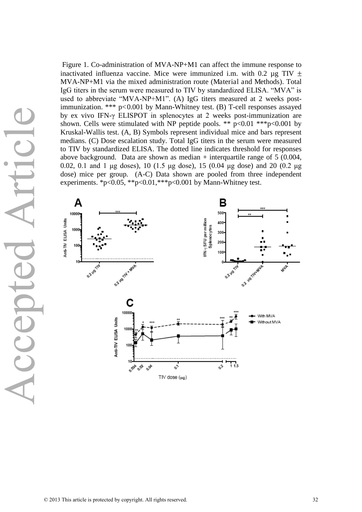Figure 1. Co-administration of MVA-NP+M1 can affect the immune response to inactivated influenza vaccine. Mice were immunized i.m. with 0.2  $\mu$ g TIV  $\pm$ MVA-NP+M1 via the mixed administration route (Material and Methods). Total IgG titers in the serum were measured to TIV by standardized ELISA. "MVA" is used to abbreviate "MVA-NP+M1". (A) IgG titers measured at 2 weeks postimmunization. \*\*\* p<0.001 by Mann-Whitney test. (B) T-cell responses assayed by ex vivo IFN-け ELISPOT in splenocytes at 2 weeks post-immunization are shown. Cells were stimulated with NP peptide pools. \*\*  $p<0.01$  \*\*\* $p<0.001$  by Kruskal-Wallis test. (A, B) Symbols represent individual mice and bars represent medians. (C) Dose escalation study. Total IgG titers in the serum were measured to TIV by standardized ELISA. The dotted line indicates threshold for responses above background. Data are shown as median  $+$  interquartile range of 5 (0.004, 0.02, 0.1 and 1  $\mu$ g doses), 10 (1.5  $\mu$ g dose), 15 (0.04  $\mu$ g dose) and 20 (0.2  $\mu$ g dose) mice per group. (A-C) Data shown are pooled from three independent experiments. \*p<0.05, \*\*p<0.01, \*\*\*p<0.001 by Mann-Whitney test.

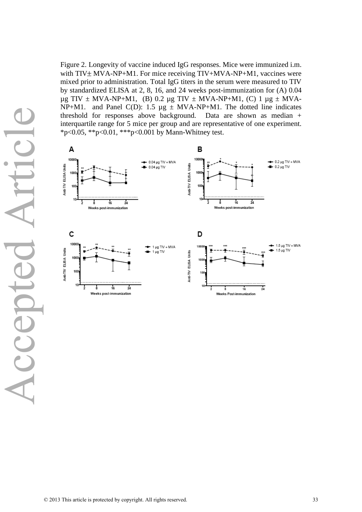Figure 2. Longevity of vaccine induced IgG responses. Mice were immunized i.m. with  $TIV \pm MVA-NP+M1$ . For mice receiving  $TIV+MVA-NP+M1$ , vaccines were mixed prior to administration. Total IgG titers in the serum were measured to TIV by standardized ELISA at 2, 8, 16, and 24 weeks post-immunization for (A) 0.04  $\mu$ g TIV ± MVA-NP+M1, (B) 0.2  $\mu$ g TIV ± MVA-NP+M1, (C) 1  $\mu$ g ± MVA-NP+M1. and Panel C(D): 1.5  $\mu$ g  $\pm$  MVA-NP+M1. The dotted line indicates threshold for responses above background. Data are shown as median + interquartile range for 5 mice per group and are representative of one experiment. \*p<0.05, \*\*p<0.01, \*\*\*p<0.001 by Mann-Whitney test.

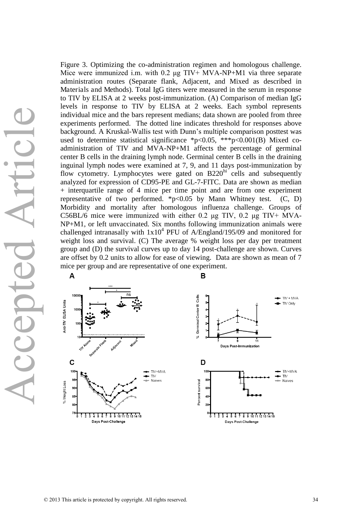Figure 3. Optimizing the co-administration regimen and homologous challenge. Mice were immunized i.m. with  $0.2 \mu g TIV+MVA-NP+M1$  via three separate administration routes (Separate flank, Adjacent, and Mixed as described in Materials and Methods). Total IgG titers were measured in the serum in response to TIV by ELISA at 2 weeks post-immunization. (A) Comparison of median IgG levels in response to TIV by ELISA at 2 weeks. Each symbol represents individual mice and the bars represent medians; data shown are pooled from three experiments performed. The dotted line indicates threshold for responses above background. A Kruskal-Wallis test with Dunn's multiple comparison posttest was used to determine statistical significance \*p<0.05, \*\*\*p<0.001(B) Mixed coadministration of TIV and MVA-NP+M1 affects the percentage of germinal center B cells in the draining lymph node. Germinal center B cells in the draining inguinal lymph nodes were examined at 7, 9, and 11 days post-immunization by flow cytometry. Lymphocytes were gated on  $B220<sup>hi</sup>$  cells and subsequently analyzed for expression of CD95-PE and GL-7-FITC. Data are shown as median + interquartile range of 4 mice per time point and are from one experiment representative of two performed.  $*_{p<0.05}$  by Mann Whitney test. (C, D) Morbidity and mortality after homologous influenza challenge. Groups of C56BL/6 mice were immunized with either 0.2  $\mu$ g TIV, 0.2  $\mu$ g TIV+ MVA-NP+M1, or left unvaccinated. Six months following immunization animals were challenged intranasally with  $1x10^4$  PFU of A/England/195/09 and monitored for weight loss and survival. (C) The average % weight loss per day per treatment group and (D) the survival curves up to day 14 post-challenge are shown. Curves are offset by 0.2 units to allow for ease of viewing. Data are shown as mean of 7 mice per group and are representative of one experiment.



 $\mathbf{B}$ 

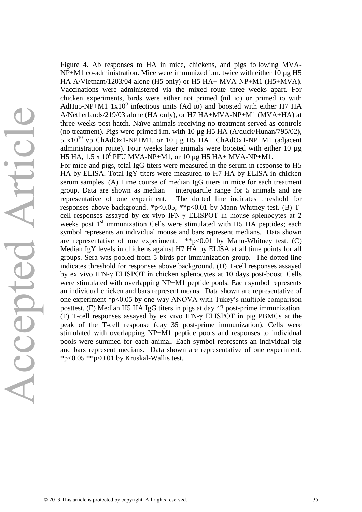Figure 4. Ab responses to HA in mice, chickens, and pigs following MVA- $NP+M1$  co-administration. Mice were immunized i.m. twice with either 10  $\mu$ g H5 HA A/Vietnam/1203/04 alone (H5 only) or H5 HA+ MVA-NP+M1 (H5+MVA). Vaccinations were administered via the mixed route three weeks apart. For chicken experiments, birds were either not primed (nil io) or primed io with AdHu5-NP+M1  $1x10^9$  infectious units (Ad io) and boosted with either H7 HA A/Netherlands/219/03 alone (HA only), or H7 HA+MVA-NP+M1 (MVA+HA) at three weeks post-hatch. Naïve animals receiving no treatment served as controls (no treatment). Pigs were primed i.m. with 10 µg H5 HA (A/duck/Hunan/795/02), 5  $x10^{10}$  vp ChAdOx1-NP+M1, or 10  $\mu$ g H5 HA+ ChAdOx1-NP+M1 (adjacent administration route). Four weeks later animals were boosted with either 10 µg H5 HA,  $1.5 \times 10^8$  PFU MVA-NP+M1, or 10 µg H5 HA+ MVA-NP+M1. For mice and pigs, total IgG titers were measured in the serum in response to H5 HA by ELISA. Total IgY titers were measured to H7 HA by ELISA in chicken serum samples. (A) Time course of median IgG titers in mice for each treatment group. Data are shown as median  $+$  interguartile range for 5 animals and are representative of one experiment. The dotted line indicates threshold for responses above background. \*p<0.05, \*\*p<0.01 by Mann-Whitney test. (B) Tcell responses assayed by ex vivo IFN- $\gamma$  ELISPOT in mouse splenocytes at 2 weeks post  $1<sup>st</sup>$  immunization Cells were stimulated with H5 HA peptides; each symbol represents an individual mouse and bars represent medians. Data shown are representative of one experiment.  $*p<0.01$  by Mann-Whitney test. (C) Median IgY levels in chickens against H7 HA by ELISA at all time points for all groups. Sera was pooled from 5 birds per immunization group. The dotted line indicates threshold for responses above background. (D) T-cell responses assayed by ex vivo IFN- $\gamma$  ELISPOT in chicken splenocytes at 10 days post-boost. Cells were stimulated with overlapping NP+M1 peptide pools. Each symbol represents an individual chicken and bars represent means. Data shown are representative of one experiment \*p<0.05 by one-way ANOVA with Tukey's multiple comparison posttest. (E) Median H5 HA IgG titers in pigs at day 42 post-prime immunization. (F) T-cell responses assayed by ex vivo IFN- $\gamma$  ELISPOT in pig PBMCs at the peak of the T-cell response (day 35 post-prime immunization). Cells were stimulated with overlapping NP+M1 peptide pools and responses to individual pools were summed for each animal. Each symbol represents an individual pig and bars represent medians. Data shown are representative of one experiment. \*p<0.05 \*\*p<0.01 by Kruskal-Wallis test.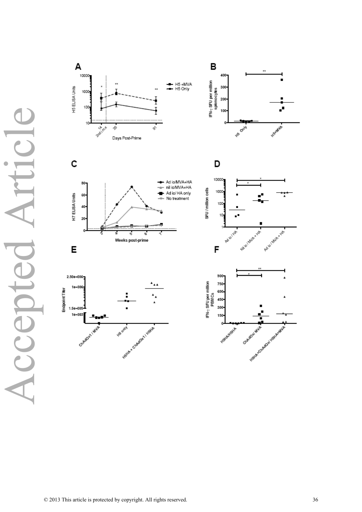Accepted Article rtic  $\bullet$ LCCODI

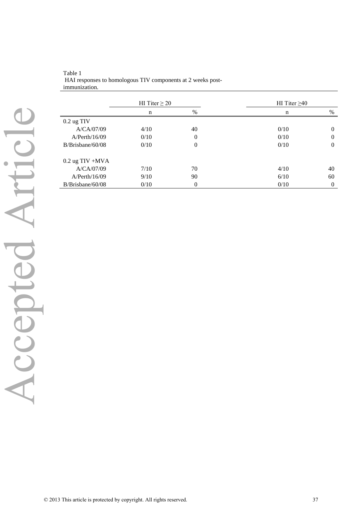|                     | HI Titer $\geq 20$ |          | HI Titer $\geq 40$ |              |
|---------------------|--------------------|----------|--------------------|--------------|
|                     | $\mathbf n$        | %        | $\mathbf n$        | $\%$         |
| $0.2$ ug TIV        |                    |          |                    |              |
| A/CA/07/09          | 4/10               | 40       | 0/10               | $\mathbf{0}$ |
| A/Perth/16/09       | 0/10               | $\Omega$ | 0/10               | $\theta$     |
| B/Brisbane/60/08    | 0/10               | $\Omega$ | 0/10               | $\theta$     |
| $0.2$ ug TIV +MVA   |                    |          |                    |              |
| A/CA/07/09          | 7/10               | 70       | 4/10               | 40           |
| A/Perth/16/09       | 9/10               | 90       | 6/10               | 60           |
| $B/B$ risbane/60/08 | 0/10               | $\Omega$ | 0/10               | $\theta$     |

Table 1 HAI responses to homologous TIV components at 2 weeks postimmunization.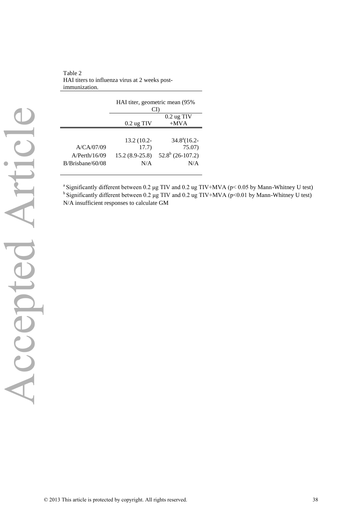Table 2 HAI titers to influenza virus at 2 weeks postimmunization.

|                  |                  | HAI titer, geometric mean (95%<br>CI) |
|------------------|------------------|---------------------------------------|
|                  |                  | $0.2$ ug TIV                          |
|                  | $0.2$ ug TIV     | $+MVA$                                |
|                  |                  |                                       |
|                  | 13.2 (10.2-      | $34.8^{\circ}(16.2 -$                 |
| A/CA/07/09       | 17.7)            | 75.07)                                |
| A/Perth/16/09    | $15.2(8.9-25.8)$ | $52.8^b$ (26-107.2)                   |
| B/Brisbane/60/08 | N/A              | N/A                                   |
|                  |                  |                                       |

<sup>a</sup> Significantly different between 0.2  $\mu$ g TIV and 0.2 ug TIV+MVA (p< 0.05 by Mann-Whitney U test)  $b$  Significantly different between 0.2 µg TIV and 0.2 ug TIV+MVA (p<0.01 by Mann-Whitney U test) N/A insufficient responses to calculate GM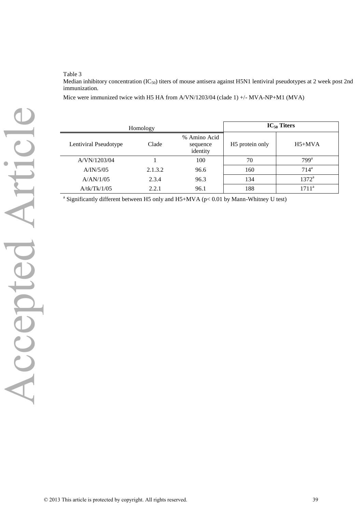Table 3

Median inhibitory concentration (IC<sub>50</sub>) titers of mouse antisera against H5N1 lentiviral pseudotypes at 2 week post 2nd immunization.

Mice were immunized twice with H5 HA from A/VN/1203/04 (clade 1) +/- MVA-NP+M1 (MVA)

|                       | Homology |                                      |                             | $IC_{50}$ Titers   |
|-----------------------|----------|--------------------------------------|-----------------------------|--------------------|
| Lentiviral Pseudotype | Clade    | % Amino Acid<br>sequence<br>identity | H <sub>5</sub> protein only | $H5+MVA$           |
| A/VN/1203/04          |          | 100                                  | 70                          | $799$ <sup>a</sup> |
| A/IN/5/05             | 2.1.3.2  | 96.6                                 | 160                         | 714 <sup>a</sup>   |
| A/AN/1/05             | 2.3.4    | 96.3                                 | 134                         | $1372^a$           |
| A/tk/Tk/1/05          | 2.2.1    | 96.1                                 | 188                         | $1711^{\rm a}$     |

<sup>a</sup> Significantly different between H5 only and H5+MVA ( $p$ < 0.01 by Mann-Whitney U test)